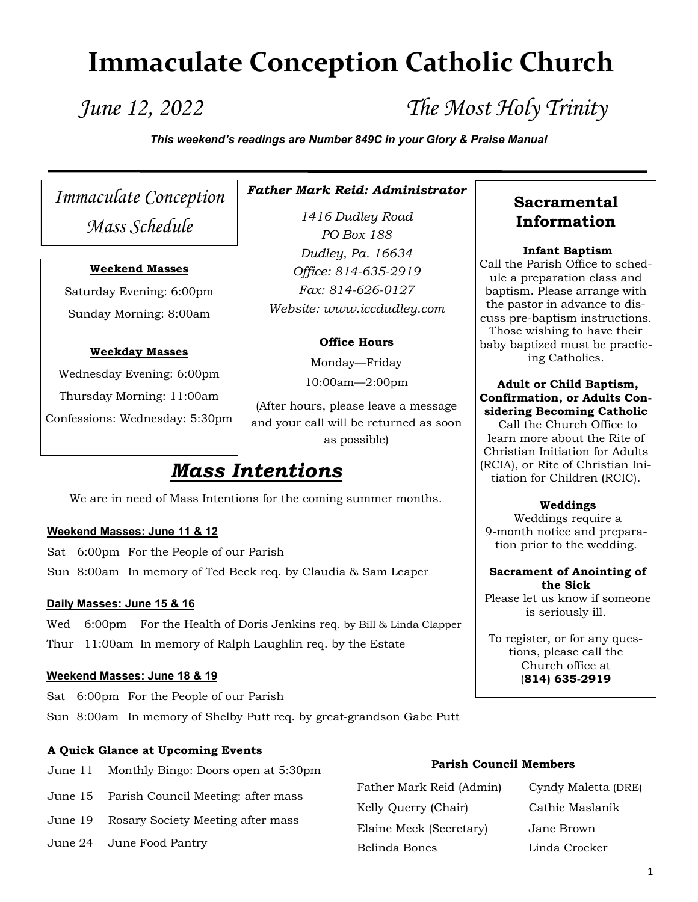# **Immaculate Conception Catholic Church**

*June 12, 2022 The Most Holy Trinity*

**Sacramental Information**

**Infant Baptism**  Call the Parish Office to schedule a preparation class and baptism. Please arrange with the pastor in advance to discuss pre-baptism instructions. Those wishing to have their baby baptized must be practicing Catholics.

**Adult or Child Baptism, Confirmation, or Adults Considering Becoming Catholic**  Call the Church Office to learn more about the Rite of Christian Initiation for Adults (RCIA), or Rite of Christian Initiation for Children (RCIC).

**Weddings**  Weddings require a 9-month notice and preparation prior to the wedding.

**Sacrament of Anointing of the Sick**  Please let us know if someone is seriously ill.

*This weekend's readings are Number 849C in your Glory & Praise Manual*

*Immaculate Conception Mass Schedule*

#### **Weekend Masses**

Saturday Evening: 6:00pm Sunday Morning: 8:00am

#### **Weekday Masses**

Wednesday Evening: 6:00pm Thursday Morning: 11:00am Confessions: Wednesday: 5:30pm

### *Father Mark Reid: Administrator*

*1416 Dudley Road PO Box 188 Dudley, Pa. 16634 Office: 814-635-2919 Fax: 814-626-0127 Website: www.iccdudley.com*

#### **Office Hours**

Monday—Friday

10:00am—2:00pm

(After hours, please leave a message and your call will be returned as soon as possible)

## *Mass Intentions*

We are in need of Mass Intentions for the coming summer months.

#### **Weekend Masses: June 11 & 12**

Sat 6:00pm For the People of our Parish Sun 8:00am In memory of Ted Beck req. by Claudia & Sam Leaper

#### **Daily Masses: June 15 & 16**

Wed 6:00pm For the Health of Doris Jenkins req. by Bill & Linda Clapper Thur 11:00am In memory of Ralph Laughlin req. by the Estate

#### **Weekend Masses: June 18 & 19**

Sat 6:00pm For the People of our Parish Sun 8:00am In memory of Shelby Putt req. by great-grandson Gabe Putt

#### **A Quick Glance at Upcoming Events**

- June 11 Monthly Bingo: Doors open at 5:30pm
- June 15 Parish Council Meeting: after mass
- June 19 Rosary Society Meeting after mass
- June 24 June Food Pantry

#### To register, or for any questions, please call the

Church office at (**814) 635-2919**

#### **Parish Council Members**

Father Mark Reid (Admin) Cyndy Maletta (DRE) Kelly Querry (Chair) Cathie Maslanik Elaine Meck (Secretary) Jane Brown Belinda Bones Linda Crocker